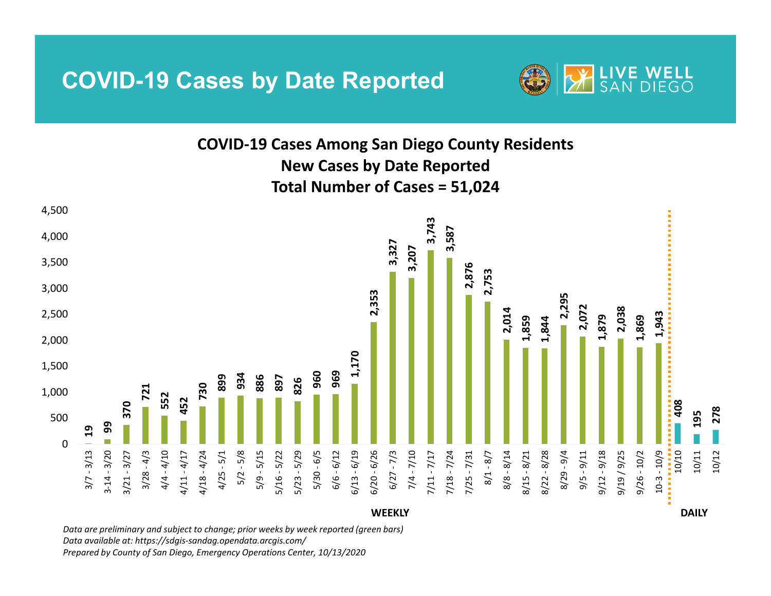**COVID-19 Cases by Date Reported**



**COVID‐19 Cases Among San Diego County Residents New Cases by Date Reported Total Number of Cases <sup>=</sup> 51,024**



*Data are preliminary and subject to change; prior weeks by week reported (green bars) Data available at: https://sdgis‐sandag.opendata.arcgis.com/ Prepared by County of San Diego, Emergency Operations Center, 10/13/2020*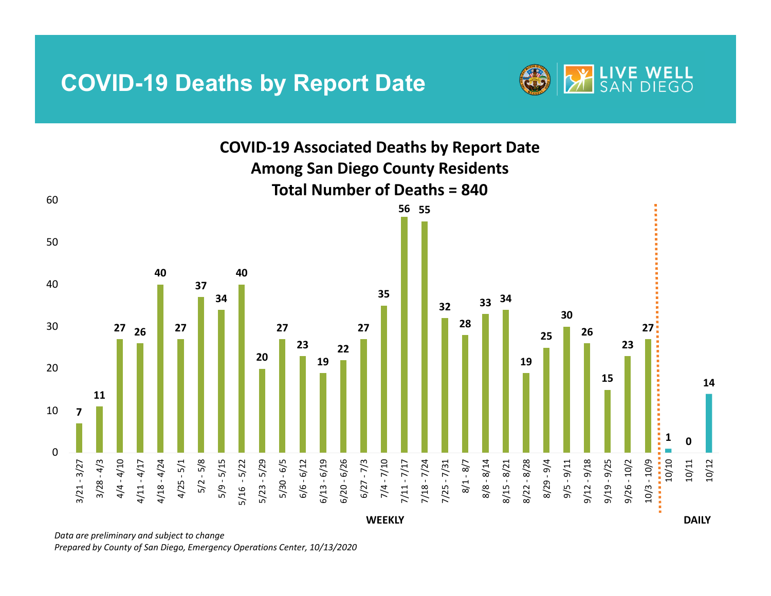## **COVID-19 Deaths by Report Date**





*Prepared by County of San Diego, Emergency Operations Center, 10/13/2020*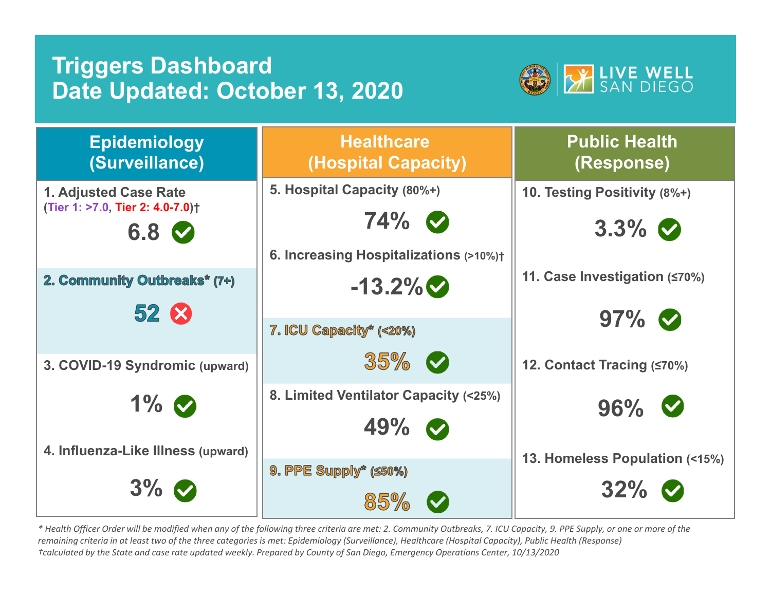# **Triggers Dashboard Date Updated: October 13, 2020**



| <b>Epidemiology</b><br>(Surveillance)               | <b>Healthcare</b><br>(Hospital Capacity) | <b>Public Health</b><br>(Response) |  |
|-----------------------------------------------------|------------------------------------------|------------------------------------|--|
| 1. Adjusted Case Rate                               | 5. Hospital Capacity (80%+)              | 10. Testing Positivity (8%+)       |  |
| (Tier 1: >7.0, Tier 2: 4.0-7.0) <sup>+</sup><br>6.8 | 74%                                      | $3.3\%$                            |  |
|                                                     | 6. Increasing Hospitalizations (>10%)+   |                                    |  |
| 2. Community Outbreaks* (7+)                        | $-13.2\%$                                | 11. Case Investigation (≤70%)      |  |
| $52 \&$                                             |                                          | $97\%$                             |  |
|                                                     | 7. ICU Capacity* (<20%)                  |                                    |  |
| 3. COVID-19 Syndromic (upward)                      | $35\%$                                   | 12. Contact Tracing (≤70%)         |  |
| $1\%$                                               | 8. Limited Ventilator Capacity (<25%)    | $96\%$                             |  |
|                                                     | 49%                                      |                                    |  |
| 4. Influenza-Like Illness (upward)                  |                                          | 13. Homeless Population (<15%)     |  |
|                                                     | $9.$ PPE Supply* ( $\leq 50\%$ )         |                                    |  |
| $3\%$                                               | $85\%$                                   | $32\%$ $\heartsuit$                |  |

\* Health Officer Order will be modified when any of the following three criteria are met: 2. Community Outbreaks, 7. ICU Capacity, 9. PPE Supply, or one or more of the remaining criteria in at least two of the three categories is met: Epidemiology (Surveillance), Healthcare (Hospital Capacity), Public Health (Response) tcalculated by the State and case rate updated weekly. Prepared by County of San Diego, Emergency Operations Center, 10/13/2020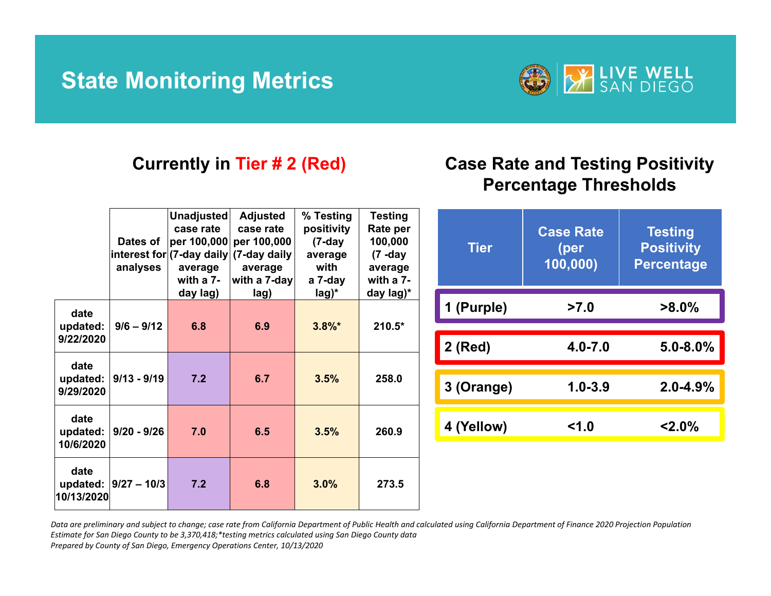# **State Monitoring Metrics**



#### **Currently in Tier # 2 (Red)**

#### **Case Rate and Testing Positivity Percentage Thresholds**

|                                | Dates of<br>analyses | <b>Unadjusted</b><br>case rate<br>per 100,000<br>average<br>with a $7-$<br>day lag) | <b>Adjusted</b><br>case rate<br>per 100,000<br>interest for $(7$ -day daily $(7$ -day daily<br>average<br>with a 7-day<br>lag) | % Testing<br>positivity<br>$(7-day)$<br>average<br>with<br>a 7-day<br>$lag)^*$ | <b>Testing</b><br>Rate per<br>100,000<br>$(7 - day)$<br>average<br>with a 7-<br>day lag)* |
|--------------------------------|----------------------|-------------------------------------------------------------------------------------|--------------------------------------------------------------------------------------------------------------------------------|--------------------------------------------------------------------------------|-------------------------------------------------------------------------------------------|
| date<br>updated:<br>9/22/2020  | $9/6 - 9/12$         | 6.8                                                                                 | 6.9                                                                                                                            | $3.8\%$ *                                                                      | $210.5*$                                                                                  |
| date<br>updated:<br>9/29/2020  | $9/13 - 9/19$        | 7.2                                                                                 | 6.7                                                                                                                            | 3.5%                                                                           | 258.0                                                                                     |
| date<br>updated:<br>10/6/2020  | $9/20 - 9/26$        | 7.0                                                                                 | 6.5                                                                                                                            | 3.5%                                                                           | 260.9                                                                                     |
| date<br>updated:<br>10/13/2020 | $9/27 - 10/3$        | 7.2                                                                                 | 6.8                                                                                                                            | 3.0%                                                                           | 273.5                                                                                     |

| <b>Tier</b> | <b>Case Rate</b><br>(per<br>100,000) | <b>Testing</b><br><b>Positivity</b><br><b>Percentage</b> |  |
|-------------|--------------------------------------|----------------------------------------------------------|--|
| 1 (Purple)  | >7.0                                 | $>8.0\%$                                                 |  |
| 2 (Red)     | $4.0 - 7.0$                          | $5.0 - 8.0%$                                             |  |
| 3 (Orange)  | $1.0 - 3.9$                          | $2.0 - 4.9%$                                             |  |
| 4 (Yellow)  | 1.0                                  | $< 2.0\%$                                                |  |

Data are preliminary and subject to change; case rate from California Department of Public Health and calculated using California Department of Finance 2020 Projection Population *Estimate for San Diego County to be 3,370,418;\*testing metrics calculated using San Diego County data Prepared by County of San Diego, Emergency Operations Center, 10/13/2020*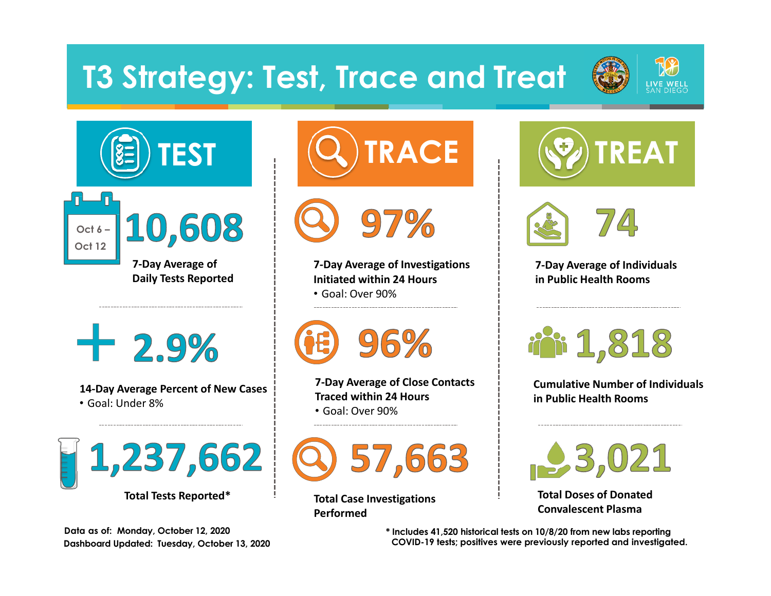# **T3 Strategy: Test, Trace and Treat**







97

**7‐Day Average of Investigations Initiated within 24 Hours** • Goal: Over 90%

 $+2.9%$ 

**14‐Day Average Percent of New Cases** • Goal: Under 8%



**Dashboard Updated: Tuesday, October 13, 2020 Data as of: Monday, October 12, 2020**



**7‐Day Average of Close Contacts Traced within 24 Hours** • Goal: Over 90%



**Total Case Investigations Performed**





**7‐Day Average of Individuals in Public Health Rooms**

1,818

**Cumulative Number of Individuals in Public Health Rooms**

**Total Doses of DonatedConvalescent Plasma**

**\* Includes 41,520 historical tests on 10/8/20 from new labs reporting COVID-19 tests; positives were previously reported and investigated.**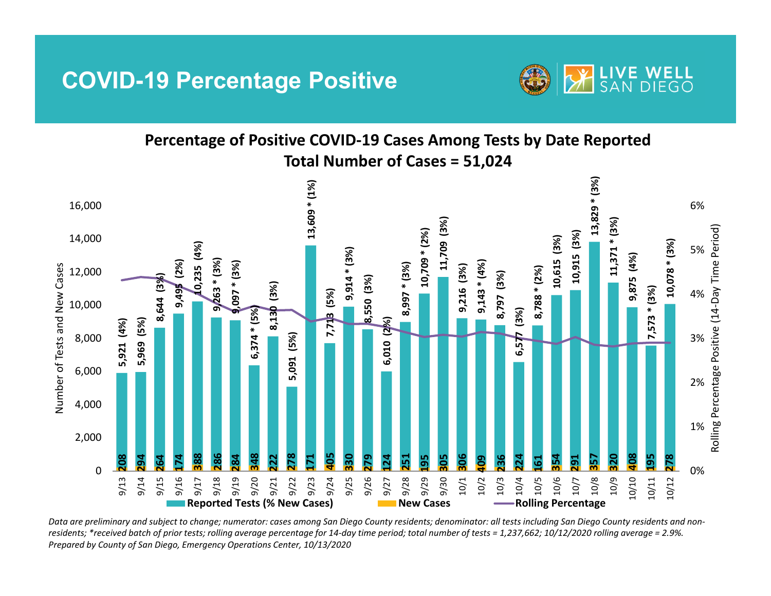### **COVID-19 Percentage Positive**



**Percentage of Positive COVID‐19 Cases Among Tests by Date Reported Total Number of Cases <sup>=</sup> 51,024**



Data are preliminary and subject to change; numerator: cases among San Diego County residents; denominator: all tests including San Diego County residents and nonresidents; \*received batch of prior tests; rolling average percentage for 14-day time period; total number of tests = 1,237,662; 10/12/2020 rolling average = 2.9%. *Prepared by County of San Diego, Emergency Operations Center, 10/13/2020*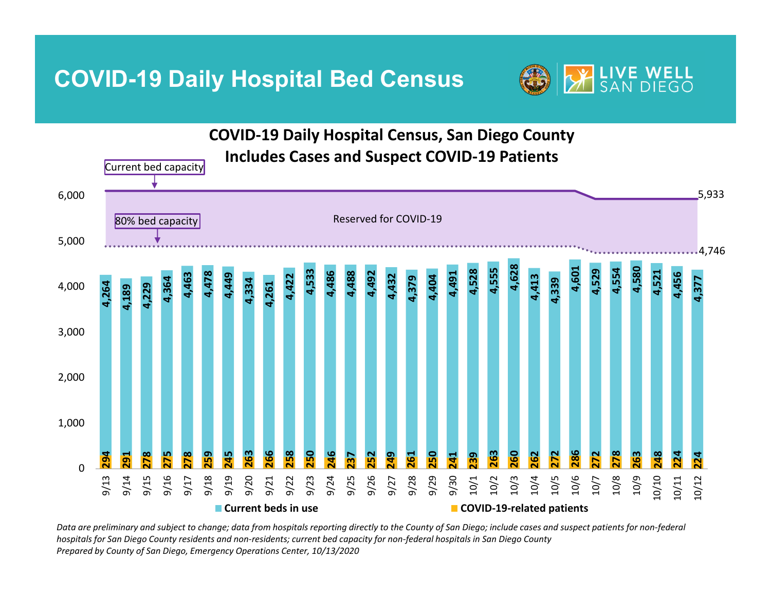**COVID-19 Daily Hospital Bed Census**



**4,264 4,189 4,229 4,364 4,463 4,478 4,449 4,334 4,261 4,422 4,533 4,486 4,488 4,492 4,432 4,379 4,404 4,491 4,528 4,555 4,628 4,413 4,339 4,601 4,529 4,554 4,580 4,521 4,456 4,377**  $\Omega$ **294** <u>គ្នា</u> **278 275 278 259 245 263 266 258 250 246 237 252 249 261 250 241 239 263 260 262 272 286 272 278 263 248 224 224** 1,000 2,000 3,000 4,000 5,000 6,000 9/13 9/14 9/15 9/16 9/17 9/18 9/19 9/20 9/21 9/22 9/23 9/24 9/25 9/26 9/27 9/28 9/29 9/30 10/1 10/2 10/3 10/4 10/5 10/6 10/7 10/8 10/9 10/10 10/11 10/12 **COVID‐19 Daily Hospital Census, San Diego County Includes Cases and Suspect COVID‐19 Patients Current beds in use COVID‐19‐related patients** Current bed capacity 80% bed capacity Reserved for COVID-19 5,933 4,746

Data are preliminary and subject to change; data from hospitals reporting directly to the County of San Diego; include cases and suspect patients for non-federal hospitals for San Diego County residents and non-residents; current bed capacity for non-federal hospitals in San Diego County *Prepared by County of San Diego, Emergency Operations Center, 10/13/2020*